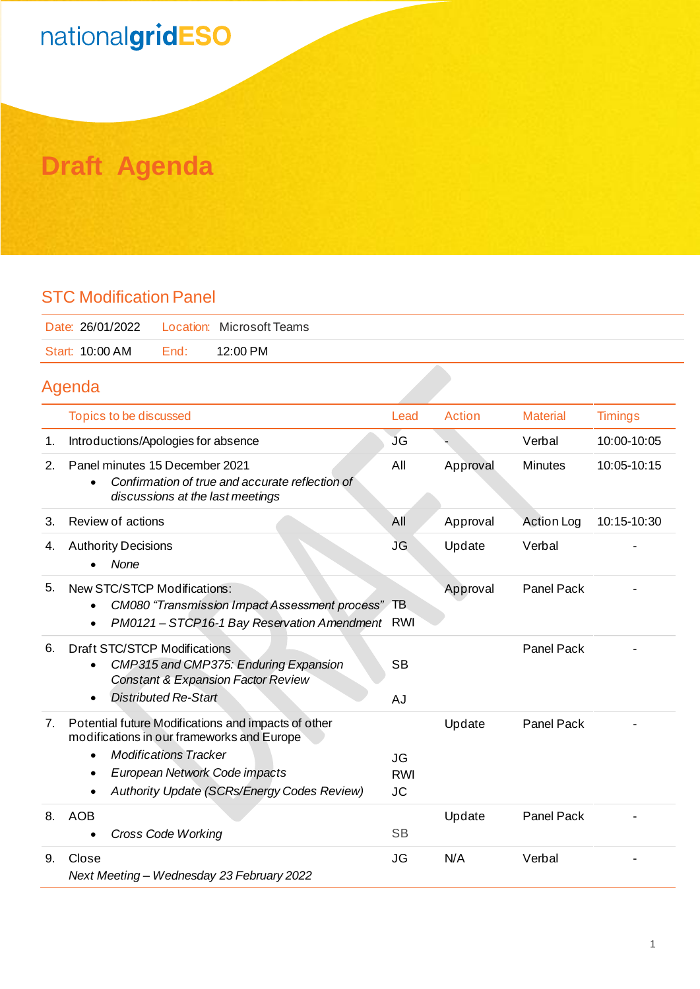# nationalgridESO

## **Draft Agenda**

#### STC Modification Panel

| Date: 26/01/2022    Location: Microsoft Teams |      |          |
|-----------------------------------------------|------|----------|
| Start: 10:00 AM                               | End: | 12:00 PM |
|                                               |      |          |

### Agenda

|    | Topics to be discussed                                                                                                                                                                                                                           | Lead                                 | <b>Action</b> | <b>Material</b>   | <b>Timings</b> |
|----|--------------------------------------------------------------------------------------------------------------------------------------------------------------------------------------------------------------------------------------------------|--------------------------------------|---------------|-------------------|----------------|
| 1. | Introductions/Apologies for absence                                                                                                                                                                                                              | JG                                   |               | Verbal            | 10:00-10:05    |
| 2. | Panel minutes 15 December 2021<br>Confirmation of true and accurate reflection of<br>$\bullet$<br>discussions at the last meetings                                                                                                               | All                                  | Approval      | Minutes           | 10:05-10:15    |
| 3. | Review of actions                                                                                                                                                                                                                                | All                                  | Approval      | <b>Action Log</b> | 10:15-10:30    |
| 4. | <b>Authority Decisions</b><br>None                                                                                                                                                                                                               | <b>JG</b>                            | Update        | Verbal            |                |
| 5. | New STC/STCP Modifications:<br>CM080 "Transmission Impact Assessment process" TB<br>$\bullet$<br>PM0121 - STCP16-1 Bay Reservation Amendment RWI<br>$\bullet$                                                                                    |                                      | Approval      | <b>Panel Pack</b> |                |
| 6. | <b>Draft STC/STCP Modifications</b><br>CMP315 and CMP375: Enduring Expansion<br>$\bullet$<br><b>Constant &amp; Expansion Factor Review</b><br><b>Distributed Re-Start</b><br>$\bullet$                                                           | <b>SB</b><br><b>AJ</b>               |               | <b>Panel Pack</b> |                |
| 7. | Potential future Modifications and impacts of other<br>modifications in our frameworks and Europe<br><b>Modifications Tracker</b><br>$\bullet$<br>European Network Code impacts<br>$\bullet$<br>Authority Update (SCRs/Energy Codes Review)<br>٠ | <b>JG</b><br><b>RWI</b><br><b>JC</b> | Update        | Panel Pack        |                |
| 8. | <b>AOB</b><br><b>Cross Code Working</b>                                                                                                                                                                                                          | <b>SB</b>                            | Update        | <b>Panel Pack</b> |                |
| 9. | Close<br>Next Meeting - Wednesday 23 February 2022                                                                                                                                                                                               | <b>JG</b>                            | N/A           | Verbal            |                |